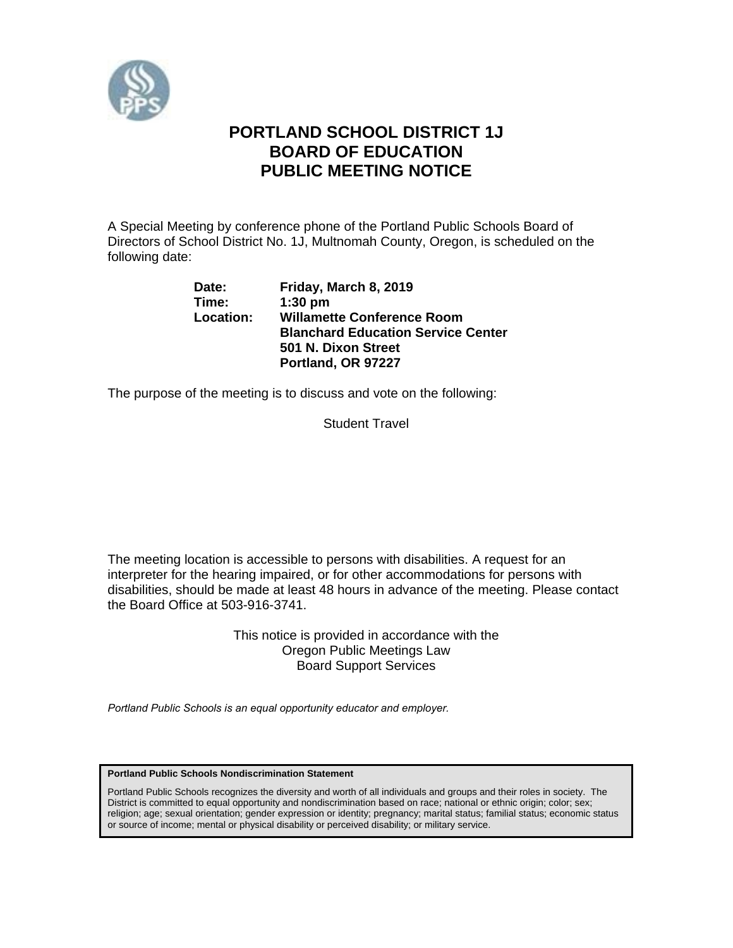

# **PORTLAND SCHOOL DISTRICT 1J BOARD OF EDUCATION PUBLIC MEETING NOTICE**

A Special Meeting by conference phone of the Portland Public Schools Board of Directors of School District No. 1J, Multnomah County, Oregon, is scheduled on the following date:

| Date:     | Friday, March 8, 2019                     |
|-----------|-------------------------------------------|
| Time:     | $1:30$ pm                                 |
| Location: | <b>Willamette Conference Room</b>         |
|           | <b>Blanchard Education Service Center</b> |
|           | 501 N. Dixon Street                       |
|           | Portland, OR 97227                        |

The purpose of the meeting is to discuss and vote on the following:

Student Travel

The meeting location is accessible to persons with disabilities. A request for an interpreter for the hearing impaired, or for other accommodations for persons with disabilities, should be made at least 48 hours in advance of the meeting. Please contact the Board Office at 503-916-3741.

> This notice is provided in accordance with the Oregon Public Meetings Law Board Support Services

*Portland Public Schools is an equal opportunity educator and employer.* 

**Portland Public Schools Nondiscrimination Statement** 

Portland Public Schools recognizes the diversity and worth of all individuals and groups and their roles in society. The District is committed to equal opportunity and nondiscrimination based on race; national or ethnic origin; color; sex; religion; age; sexual orientation; gender expression or identity; pregnancy; marital status; familial status; economic status or source of income; mental or physical disability or perceived disability; or military service.